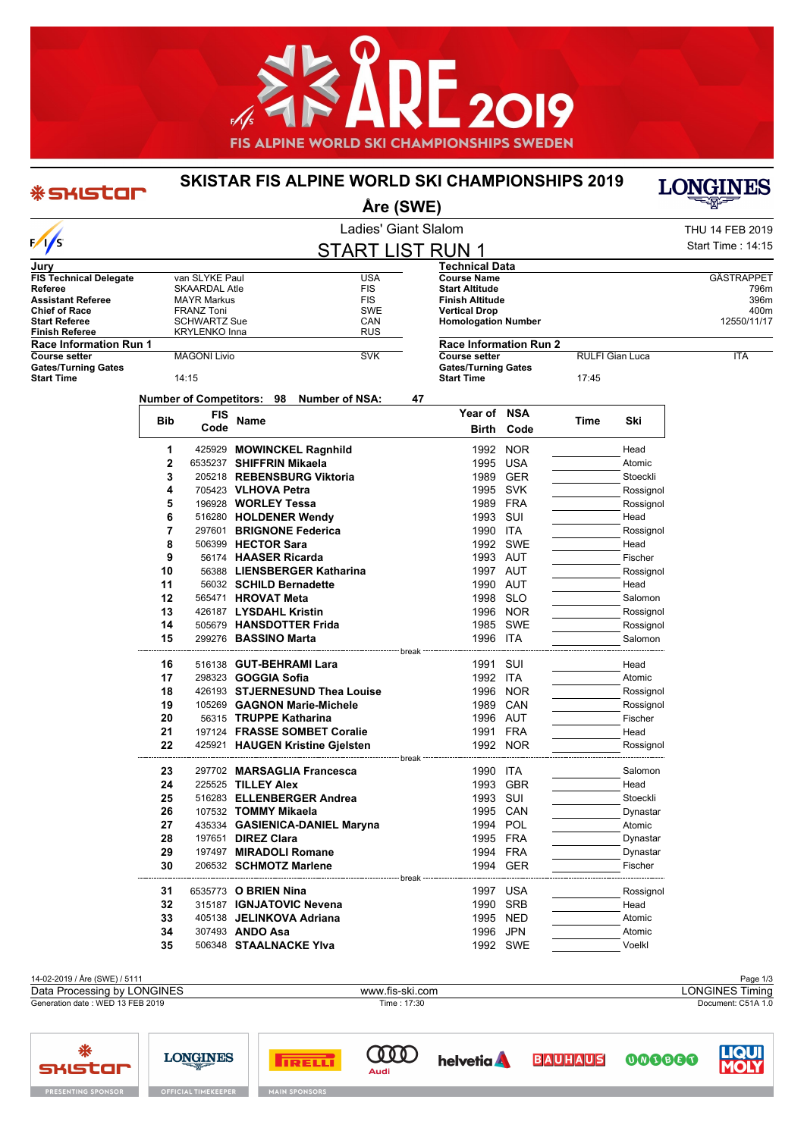

## **SKISTAR FIS ALPINE WORLD SKI CHAMPIONSHIPS 2019**



| * SHISTOP                                       |          |                      |                            |                                                  | Åre (SWE)            |                                                 |                   |                 |                     | <b>TOMQIME'R</b>       |
|-------------------------------------------------|----------|----------------------|----------------------------|--------------------------------------------------|----------------------|-------------------------------------------------|-------------------|-----------------|---------------------|------------------------|
|                                                 |          |                      |                            |                                                  | Ladies' Giant Slalom |                                                 |                   |                 |                     | <b>THU 14 FEB 2019</b> |
| $\frac{1}{s}$                                   |          |                      |                            | <b>START LIST RUN 1</b>                          |                      |                                                 |                   |                 |                     | Start Time: 14:15      |
|                                                 |          |                      |                            |                                                  |                      |                                                 |                   |                 |                     |                        |
| Jury<br><b>FIS Technical Delegate</b>           |          | van SLYKE Paul       |                            | USA                                              |                      | Technical Data<br><b>Course Name</b>            |                   |                 |                     | GÄSTRAPPET             |
| Referee                                         |          | <b>SKAARDAL Atle</b> |                            | <b>FIS</b>                                       |                      | <b>Start Altitude</b>                           |                   |                 |                     | 796m                   |
| <b>Assistant Referee</b>                        |          | <b>MAYR Markus</b>   |                            | <b>FIS</b>                                       |                      | <b>Finish Altitude</b>                          |                   |                 |                     | 396m                   |
| <b>Chief of Race</b>                            |          | <b>FRANZ Toni</b>    |                            | SWE                                              |                      | <b>Vertical Drop</b>                            |                   |                 |                     | 400m                   |
| <b>Start Referee</b>                            |          | <b>SCHWARTZ Sue</b>  |                            | CAN                                              |                      | <b>Homologation Number</b>                      |                   |                 |                     | 12550/11/17            |
| Finish Referee<br>Race Information Run 1        |          | <b>KRYLENKO Inna</b> |                            | <b>RUS</b>                                       |                      | <b>Race Information Run 2</b>                   |                   |                 |                     |                        |
| <b>Course setter</b>                            |          | <b>MAGONI Livio</b>  |                            | <b>SVK</b>                                       |                      | <b>Course setter</b>                            |                   | RULFI Gian Luca |                     | <b>ITA</b>             |
| <b>Gates/Turning Gates</b><br><b>Start Time</b> |          | 14:15                |                            |                                                  |                      | <b>Gates/Turning Gates</b><br><b>Start Time</b> |                   | 17:45           |                     |                        |
|                                                 |          |                      |                            | Number of Competitors: 98 Number of NSA:         | 47                   |                                                 |                   |                 |                     |                        |
|                                                 |          | <b>FIS</b>           |                            |                                                  |                      | Year of NSA                                     |                   |                 |                     |                        |
|                                                 | Bib      | Code                 | Name                       |                                                  |                      |                                                 | <b>Birth Code</b> | Time            | Ski                 |                        |
|                                                 | 1        |                      |                            | 425929 MOWINCKEL Ragnhild                        |                      |                                                 | 1992 NOR          |                 | Head                |                        |
|                                                 | 2        |                      |                            | 6535237 SHIFFRIN Mikaela                         |                      | 1995 USA                                        |                   |                 | Atomic              |                        |
|                                                 | 3        |                      |                            | 205218 REBENSBURG Viktoria                       |                      |                                                 | 1989 GER          |                 | Stoeckli            |                        |
|                                                 | 4        |                      | 705423 VLHOVA Petra        |                                                  |                      | 1995 SVK                                        |                   |                 | Rossignol           |                        |
|                                                 | 5        |                      | 196928 WORLEY Tessa        |                                                  |                      | 1989 FRA                                        |                   |                 | Rossignol           |                        |
|                                                 | 6        |                      |                            | 516280 HOLDENER Wendy                            |                      | 1993 SUI                                        |                   |                 | Head                |                        |
|                                                 | 7        |                      |                            | 297601 BRIGNONE Federica                         |                      | 1990 ITA                                        |                   |                 | Rossignol           |                        |
|                                                 | 8        |                      | 506399 HECTOR Sara         |                                                  |                      |                                                 | 1992 SWE          |                 | Head                |                        |
|                                                 | 9        |                      |                            | 56174 HAASER Ricarda                             |                      | 1993 AUT                                        |                   |                 | Fischer             |                        |
|                                                 | 10       |                      |                            | 56388 LIENSBERGER Katharina                      |                      | 1997 AUT                                        |                   |                 | Rossignol           |                        |
|                                                 | 11       |                      |                            | 56032 SCHILD Bernadette                          |                      | 1990 AUT                                        |                   |                 | Head                |                        |
|                                                 | 12       |                      | 565471 HROVAT Meta         |                                                  |                      | 1998 SLO                                        |                   |                 | Salomon             |                        |
|                                                 | 13       |                      | 426187 LYSDAHL Kristin     |                                                  |                      |                                                 | 1996 NOR          |                 | Rossignol           |                        |
|                                                 | 14       |                      |                            | 505679 HANSDOTTER Frida                          |                      |                                                 | 1985 SWE          |                 | Rossignol           |                        |
|                                                 | 15       |                      | 299276 BASSINO Marta       |                                                  |                      | 1996 ITA                                        |                   |                 | Salomon             |                        |
|                                                 | 16       |                      |                            | 516138 GUT-BEHRAMI Lara                          | break                | 1991 SUI                                        |                   |                 | Head                |                        |
|                                                 | 17       |                      | 298323 <b>GOGGIA Sofia</b> |                                                  |                      | 1992 ITA                                        |                   |                 | Atomic              |                        |
|                                                 | 18       |                      |                            | 426193 STJERNESUND Thea Louise                   |                      |                                                 | 1996 NOR          |                 | Rossignol           |                        |
|                                                 | 19       |                      |                            | 105269 GAGNON Marie-Michele                      |                      | 1989 CAN                                        |                   |                 | Rossignol           |                        |
|                                                 | 20       |                      |                            | 56315 TRUPPE Katharina                           |                      | 1996 AUT                                        |                   |                 | Fischer             |                        |
|                                                 | 21       |                      |                            | 197124 FRASSE SOMBET Coralie                     |                      | 1991 FRA                                        |                   |                 | Head                |                        |
|                                                 | 22       |                      |                            | 425921 HAUGEN Kristine Gjelsten                  |                      | 1992 NOR                                        |                   |                 | Rossignol           |                        |
|                                                 | 23       |                      |                            | 297702 MARSAGLIA Francesca                       | -- break -           | 1990 ITA                                        |                   |                 | Salomon             |                        |
|                                                 | 24       |                      | 225525 TILLEY Alex         |                                                  |                      | 1993 GBR                                        |                   |                 | Head                |                        |
|                                                 |          |                      |                            |                                                  |                      | 1993 SUI                                        |                   |                 | Stoeckli            |                        |
|                                                 | 25       |                      |                            | 516283 ELLENBERGER Andrea                        |                      |                                                 |                   |                 |                     |                        |
|                                                 | 26       |                      | 107532 TOMMY Mikaela       |                                                  |                      | 1995 CAN                                        |                   |                 | Dynastar            |                        |
|                                                 | 27       |                      |                            | 435334 GASIENICA-DANIEL Maryna                   |                      | 1994 POL                                        |                   |                 | Atomic              |                        |
|                                                 | 28       |                      | 197651 <b>DIREZ Clara</b>  |                                                  |                      | 1995 FRA                                        |                   |                 | Dynastar            |                        |
|                                                 | 29<br>30 |                      |                            | 197497 MIRADOLI Romane<br>206532 SCHMOTZ Marlene |                      | 1994 FRA                                        | 1994 GER          |                 | Dynastar<br>Fischer |                        |
|                                                 |          |                      |                            |                                                  | break                |                                                 |                   |                 |                     |                        |
|                                                 | 31       |                      | 6535773 O BRIEN Nina       |                                                  |                      | 1997 USA                                        |                   |                 | Rossignol           |                        |
|                                                 | 32       |                      |                            | 315187 IGNJATOVIC Nevena                         |                      | 1990 SRB                                        |                   |                 | Head                |                        |
|                                                 | 33       |                      |                            | 405138 JELINKOVA Adriana                         |                      | 1995 NED                                        |                   |                 | Atomic              |                        |
|                                                 | 34       |                      | 307493 ANDO Asa            |                                                  |                      | 1996 JPN                                        |                   |                 | Atomic              |                        |
|                                                 | 35       |                      |                            | 506348 STAALNACKE Ylva                           |                      |                                                 | 1992 SWE          |                 | Voelkl              |                        |

| 14-02-2019 / Åre (SWE) / 5111    |                 | Page 1/3           |
|----------------------------------|-----------------|--------------------|
| Data Processing by LONGINES      | www.fis-ski.com | LONGINES Timing    |
| Generation date: WED 13 FEB 2019 | Time : 17:30    | Document: C51A 1.0 |
|                                  |                 |                    |
|                                  |                 |                    |

 $\text{O}$ 

**helvetia** 

**BAUHAUS** 



**FIRELLY** 

**LONGINES** 



000000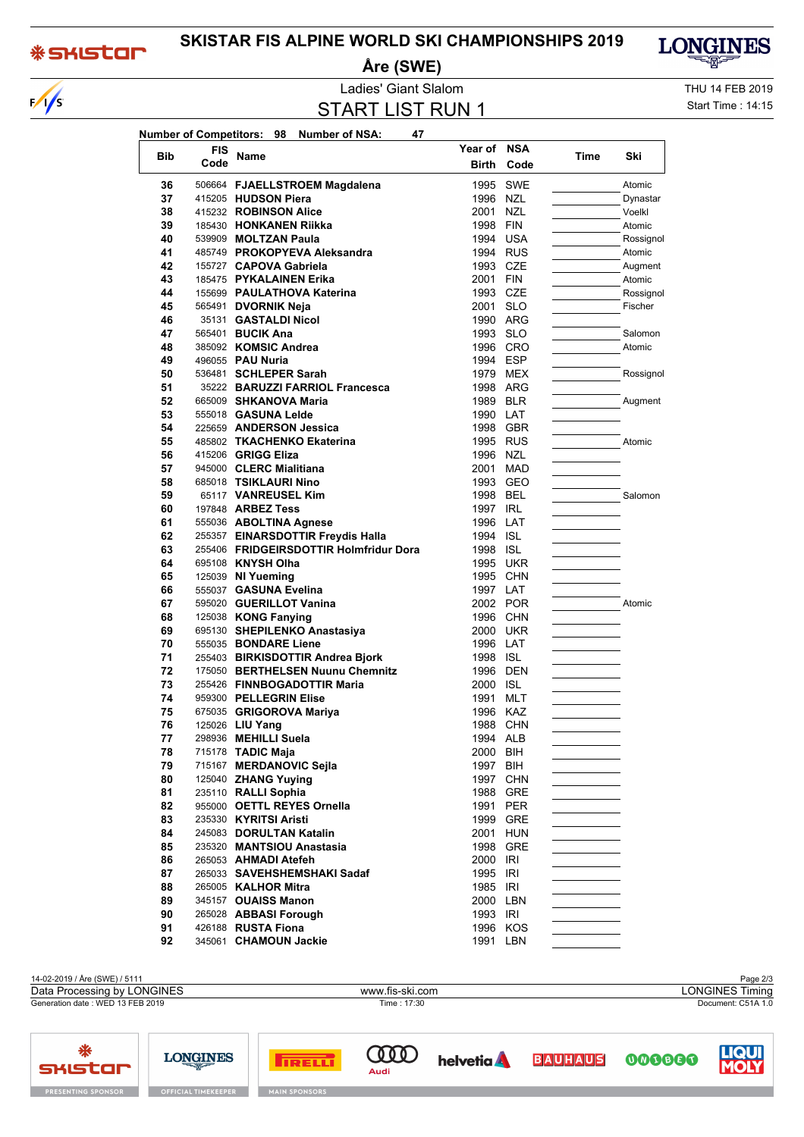## **\*SKISTOM**

 $\sqrt{\frac{2}{5}}$ 

## **SKISTAR FIS ALPINE WORLD SKI CHAMPIONSHIPS 2019**

Åre (SWE)



Ladies' Giant Slalom

**START LIST RUN 1** 

THU 14 FEB 2019 Start Time: 14:15

| Bib      | FIS  | Name                                                                        | Year of NSA          |          | Time | Ski       |
|----------|------|-----------------------------------------------------------------------------|----------------------|----------|------|-----------|
|          | Code |                                                                             | <b>Birth</b>         | Code     |      |           |
| 36       |      | 506664 FJAELLSTROEM Magdalena                                               |                      | 1995 SWE |      | Atomic    |
| 37       |      | 415205 HUDSON Piera                                                         | 1996 NZL             |          |      | Dynastar  |
| 38       |      | 415232 ROBINSON Alice                                                       | 2001 NZL             |          |      | Voelkl    |
| 39       |      | 185430 HONKANEN Riikka                                                      | 1998 FIN             |          |      | Atomic    |
| 40       |      | 539909 MOLTZAN Paula                                                        |                      | 1994 USA |      | Rossignol |
| 41       |      | 485749 PROKOPYEVA Aleksandra                                                |                      | 1994 RUS |      | Atomic    |
| 42       |      | 155727 CAPOVA Gabriela                                                      | 1993 CZE             |          |      | Augment   |
| 43       |      | 185475 PYKALAINEN Erika                                                     | 2001 FIN             |          |      | Atomic    |
| 44       |      | 155699 PAULATHOVA Katerina                                                  | 1993 CZE             |          |      | Rossignol |
| 45       |      | 565491 DVORNIK Neja                                                         | 2001 SLO             |          |      | Fischer   |
| 46       |      | 35131 GASTALDI Nicol                                                        |                      | 1990 ARG |      |           |
| 47       |      | 565401 <b>BUCIK Ana</b>                                                     | 1993 SLO             |          |      | Salomon   |
| 48       |      | 385092 KOMSIC Andrea                                                        |                      | 1996 CRO |      | Atomic    |
| 49       |      | 496055 PAU Nuria                                                            | 1994 ESP             |          |      |           |
| 50       |      | 536481 SCHLEPER Sarah                                                       |                      | 1979 MEX |      | Rossignol |
| 51       |      | 35222 BARUZZI FARRIOL Francesca                                             |                      | 1998 ARG |      |           |
| 52       |      | 665009 SHKANOVA Maria                                                       | 1989 BLR             |          |      | Augment   |
| 53       |      | 555018 GASUNA Lelde                                                         | 1990 LAT             |          |      |           |
| 54       |      | 225659 ANDERSON Jessica                                                     |                      | 1998 GBR |      |           |
| 55       |      | 485802 TKACHENKO Ekaterina                                                  |                      | 1995 RUS |      | Atomic    |
| 56       |      | 415206 GRIGG Eliza                                                          | 1996 NZL             |          |      |           |
| 57       |      | 945000 CLERC Mialitiana                                                     |                      | 2001 MAD |      |           |
| 58       |      | 685018 TSIKLAURI Nino                                                       |                      | 1993 GEO |      |           |
| 59       |      | 65117 VANREUSEL Kim                                                         | 1998 BEL             |          |      | Salomon   |
| 60       |      | 197848 <b>ARBEZ Tess</b>                                                    | 1997 IRL             |          |      |           |
| 61       |      | 555036 ABOLTINA Agnese                                                      | 1996 LAT             |          |      |           |
| 62<br>63 |      | 255357 EINARSDOTTIR Freydis Halla<br>255406 FRIDGEIRSDOTTIR Holmfridur Dora | 1994 ISL<br>1998 ISL |          |      |           |
| 64       |      | 695108 KNYSH Olha                                                           |                      | 1995 UKR |      |           |
| 65       |      | 125039 NI Yueming                                                           |                      | 1995 CHN |      |           |
| 66       |      | 555037 GASUNA Evelina                                                       | 1997 LAT             |          |      |           |
| 67       |      | 595020 GUERILLOT Vanina                                                     |                      | 2002 POR |      | Atomic    |
| 68       |      | 125038 KONG Fanying                                                         |                      | 1996 CHN |      |           |
| 69       |      | 695130 SHEPILENKO Anastasiya                                                | 2000 UKR             |          |      |           |
| 70       |      | 555035 BONDARE Liene                                                        | 1996 LAT             |          |      |           |
| 71       |      | 255403 BIRKISDOTTIR Andrea Bjork                                            | 1998 ISL             |          |      |           |
| 72       |      | 175050 BERTHELSEN Nuunu Chemnitz                                            | 1996 DEN             |          |      |           |
| 73       |      | 255426 FINNBOGADOTTIR Maria                                                 | 2000 ISL             |          |      |           |
| 74       |      | 959300 PELLEGRIN Elise                                                      | 1991 MLT             |          |      |           |
| 75       |      | 675035 GRIGOROVA Mariya                                                     | 1996 KAZ             |          |      |           |
| 76       |      | 125026 <b>LIU Yang</b>                                                      |                      | 1988 CHN |      |           |
| 77       |      | 298936 MEHILLI Suela                                                        | 1994 ALB             |          |      |           |
| 78       |      | 715178 TADIC Maja                                                           | 2000 BIH             |          |      |           |
| 79       |      | 715167 MERDANOVIC Sejla                                                     | 1997 BIH             |          |      |           |
| 80       |      | 125040 ZHANG Yuying                                                         |                      | 1997 CHN |      |           |
| 81       |      | 235110 RALLI Sophia                                                         |                      | 1988 GRE |      |           |
| 82       |      | 955000 OETTL REYES Ornella                                                  |                      | 1991 PER |      |           |
| 83       |      | 235330 KYRITSI Aristi                                                       |                      | 1999 GRE |      |           |
| 84       |      | 245083 DORULTAN Katalin                                                     |                      | 2001 HUN |      |           |
| 85       |      | 235320 MANTSIOU Anastasia                                                   |                      | 1998 GRE |      |           |
| 86       |      | 265053 AHMADI Atefeh                                                        | 2000 IRI             |          |      |           |
| 87       |      | 265033 SAVEHSHEMSHAKI Sadaf                                                 | 1995 IRI             |          |      |           |
| 88       |      | 265005 KALHOR Mitra                                                         | 1985 IRI             |          |      |           |
| 89       |      | 345157 OUAISS Manon                                                         | 2000 LBN             |          |      |           |
| 90       |      | 265028 ABBASI Forough                                                       | 1993 IRI             |          |      |           |
| 91       |      | 426188 RUSTA Fiona                                                          |                      | 1996 KOS |      |           |
| 92       |      | 345061 CHAMOUN Jackie                                                       |                      | 1991 LBN |      |           |

14-02-2019 / Åre (SWE) / 5111 Page 2/3 LONGINES Timing Data Processing by LONGINES www.fis-ski.com Generation date: WED 13 FEB 2019 Time: 17:30 Document: C51A 1.0